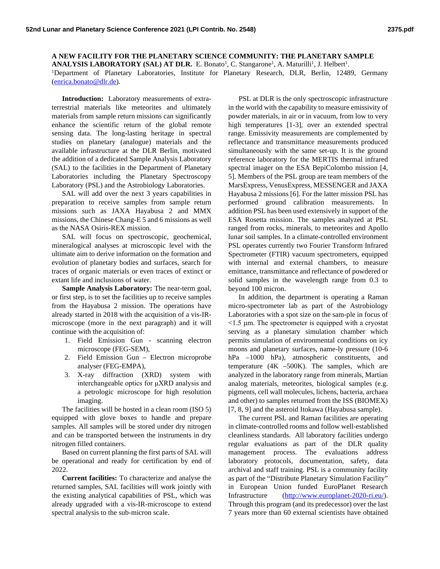**A NEW FACILITY FOR THE PLANETARY SCIENCE COMMUNITY: THE PLANETARY SAMPLE ANALYSIS LABORATORY (SAL) AT DLR.** E. Bonato<sup>1</sup>, C. Stangarone<sup>1</sup>, A. Maturilli<sup>1</sup>, J. Helbert<sup>1</sup>. <sup>1</sup>Department of Planetary Laboratories, Institute for Planetary Research, DLR, Berlin, 12489, Germany [\(enrica.bonato@dlr.de\)](mailto:enrica.bonato@dlr.de).

**Introduction:** Laboratory measurements of extraterrestrial materials like meteorites and ultimately materials from sample return missions can significantly enhance the scientific return of the global remote sensing data. The long-lasting heritage in spectral studies on planetary (analogue) materials and the available infrastructure at the DLR Berlin, motivated the addition of a dedicated Sample Analysis Laboratory (SAL) to the facilities in the Department of Planetary Laboratories including the Planetary Spectroscopy Laboratory (PSL) and the Astrobiology Laboratories.

SAL will add over the next 3 years capabilities in preparation to receive samples from sample return missions such as JAXA Hayabusa 2 and MMX missions, the Chinese Chang-E 5 and 6 missions as well as the NASA Osiris-REX mission.

SAL will focus on spectroscopic, geochemical, mineralogical analyses at microscopic level with the ultimate aim to derive information on the formation and evolution of planetary bodies and surfaces, search for traces of organic materials or even traces of extinct or extant life and inclusions of water.

**Sample Analysis Laboratory:** The near-term goal, or first step, is to set the facilities up to receive samples from the Hayabusa 2 mission. The operations have already started in 2018 with the acquisition of a vis-IRmicroscope (more in the next paragraph) and it will continue with the acquisition of:

- 1. Field Emission Gun scanning electron microscope (FEG-SEM),
- 2. Field Emission Gun Electron microprobe analyser (FEG-EMPA),
- 3. X-ray diffraction (XRD) system with interchangeable optics for μXRD analysis and a petrologic microscope for high resolution imaging.

The facilities will be hosted in a clean room (ISO 5) equipped with glove boxes to handle and prepare samples. All samples will be stored under dry nitrogen and can be transported between the instruments in dry nitrogen filled containers.

Based on current planning the first parts of SAL will be operational and ready for certification by end of 2022.

**Current facilities:** To characterize and analyse the returned samples, SAL facilities will work jointly with the existing analytical capabilities of PSL, which was already upgraded with a vis-IR-microscope to extend spectral analysis to the sub-micron scale.

PSL at DLR is the only spectroscopic infrastructure in the world with the capability to measure emissivity of powder materials, in air or in vacuum, from low to very high temperatures [1-3], over an extended spectral range. Emissivity measurements are complemented by reflectance and transmittance measurements produced simultaneously with the same set-up. It is the ground reference laboratory for the MERTIS thermal infrared spectral imager on the ESA BepiColombo mission [4, 5]. Members of the PSL group are team members of the MarsExpress, VenusExpress, MESSENGER and JAXA Hayabusa 2 missions [6]. For the latter mission PSL has performed ground calibration measurements. In addition PSL has been used extensively in support of the ESA Rosetta mission. The samples analyzed at PSL ranged from rocks, minerals, to meteorites and Apollo lunar soil samples. In a climate-controlled environment PSL operates currently two Fourier Transform Infrared Spectrometer (FTIR) vacuum spectrometers, equipped with internal and external chambers, to measure emittance, transmittance and reflectance of powdered or solid samples in the wavelength range from 0.3 to beyond 100 micron.

In addition, the department is operating a Raman micro-spectrometer lab as part of the Astrobiology Laboratories with a spot size on the sam-ple in focus of <1.5 μm. The spectrometer is equipped with a cryostat serving as a planetary simulation chamber which permits simulation of environmental conditions on icy moons and planetary surfaces, name-ly pressure (10-6 hPa –1000 hPa), atmospheric constituents, and temperature (4K –500K). The samples, which are analyzed in the laboratory range from minerals, Martian analog materials, meteorites, biological samples (e.g. pigments, cell wall molecules, lichens, bacteria, archaea and other) to samples returned from the ISS (BIOMEX) [7, 8, 9] and the asteroid Itokawa (Hayabusa sample).

The current PSL and Raman facilities are operating in climate-controlled rooms and follow well-established cleanliness standards. All laboratory facilities undergo regular evaluations as part of the DLR quality management process. The evaluations address laboratory protocols, documentation, safety, data archival and staff training. PSL is a community facility as part of the "Distribute Planetary Simulation Facility" in European Union funded EuroPlanet Research Infrastructure [\(http://www.europlanet-2020-ri.eu/\)](http://www.europlanet-2020-ri.eu/). Through this program (and its predecessor) over the last 7 years more than 60 external scientists have obtained